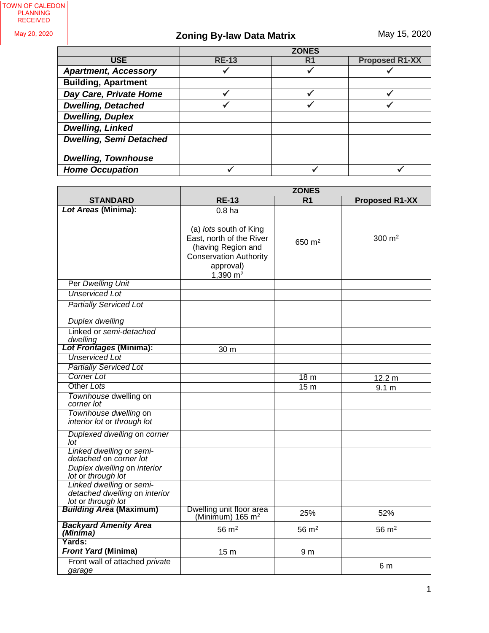TOWN OF CALEDON PLANNING RECEIVED

May 20, 2020

# **Zoning By-law Data Matrix**

|                                | <b>ZONES</b> |    |                       |
|--------------------------------|--------------|----|-----------------------|
| <b>USE</b>                     | <b>RE-13</b> | R1 | <b>Proposed R1-XX</b> |
| <b>Apartment, Accessory</b>    |              |    |                       |
| <b>Building, Apartment</b>     |              |    |                       |
| Day Care, Private Home         |              |    |                       |
| <b>Dwelling, Detached</b>      |              |    |                       |
| <b>Dwelling, Duplex</b>        |              |    |                       |
| <b>Dwelling, Linked</b>        |              |    |                       |
| <b>Dwelling, Semi Detached</b> |              |    |                       |
| <b>Dwelling, Townhouse</b>     |              |    |                       |
| <b>Home Occupation</b>         |              |    |                       |

|                                                                                 | <b>ZONES</b>                                                                                                                         |                  |                       |
|---------------------------------------------------------------------------------|--------------------------------------------------------------------------------------------------------------------------------------|------------------|-----------------------|
| <b>STANDARD</b>                                                                 | <b>RE-13</b>                                                                                                                         | R <sub>1</sub>   | <b>Proposed R1-XX</b> |
| Lot Areas (Minima):                                                             | 0.8 <sub>ha</sub>                                                                                                                    |                  |                       |
|                                                                                 | (a) lots south of King<br>East, north of the River<br>(having Region and<br><b>Conservation Authority</b><br>approval)<br>1,390 $m2$ | 650 $m2$         | 300 $m2$              |
| Per Dwelling Unit                                                               |                                                                                                                                      |                  |                       |
| <b>Unserviced Lot</b>                                                           |                                                                                                                                      |                  |                       |
| <b>Partially Serviced Lot</b>                                                   |                                                                                                                                      |                  |                       |
| <b>Duplex dwelling</b>                                                          |                                                                                                                                      |                  |                       |
| Linked or semi-detached<br>dwelling                                             |                                                                                                                                      |                  |                       |
| <b>Lot Frontages (Minima):</b>                                                  | 30 m                                                                                                                                 |                  |                       |
| <b>Unserviced Lot</b>                                                           |                                                                                                                                      |                  |                       |
| <b>Partially Serviced Lot</b>                                                   |                                                                                                                                      |                  |                       |
| <b>Corner Lot</b>                                                               |                                                                                                                                      | 18 <sub>m</sub>  | 12.2 m                |
| Other Lots                                                                      |                                                                                                                                      | 15 <sub>m</sub>  | 9.1 <sub>m</sub>      |
| Townhouse dwelling on<br>corner lot                                             |                                                                                                                                      |                  |                       |
| Townhouse dwelling on<br>interior lot or through lot                            |                                                                                                                                      |                  |                       |
| Duplexed dwelling on corner<br>lot                                              |                                                                                                                                      |                  |                       |
| Linked dwelling or semi-<br>detached on corner lot                              |                                                                                                                                      |                  |                       |
| Duplex dwelling on interior<br>lot or through lot                               |                                                                                                                                      |                  |                       |
| Linked dwelling or semi-<br>detached dwelling on interior<br>lot or through lot |                                                                                                                                      |                  |                       |
| <b>Building Area (Maximum)</b>                                                  | Dwelling unit floor area<br>(Minimum) $165 \text{ m}^2$                                                                              | 25%              | 52%                   |
| <b>Backyard Amenity Area</b><br>(Minima)                                        | $56 \text{ m}^2$                                                                                                                     | $56 \text{ m}^2$ | $56 \text{ m}^2$      |
| Yards:                                                                          |                                                                                                                                      |                  |                       |
| <b>Front Yard (Minima)</b>                                                      | 15 <sub>m</sub>                                                                                                                      | 9 <sub>m</sub>   |                       |
| Front wall of attached private<br>garage                                        |                                                                                                                                      |                  | 6 m                   |
|                                                                                 |                                                                                                                                      |                  |                       |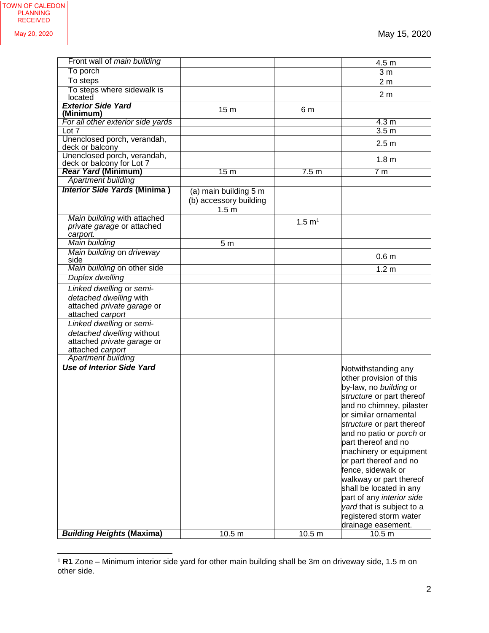$\overline{a}$ 

| Front wall of <i>main building</i>   |                        |                   | 4.5 <sub>m</sub>                |
|--------------------------------------|------------------------|-------------------|---------------------------------|
| To porch                             |                        |                   | 3 <sub>m</sub>                  |
| To steps                             |                        |                   | 2 <sub>m</sub>                  |
| To steps where sidewalk is           |                        |                   |                                 |
| located                              |                        |                   | 2 <sub>m</sub>                  |
| <b>Exterior Side Yard</b>            | 15 <sub>m</sub>        | 6 m               |                                 |
| (Minimum)                            |                        |                   |                                 |
| For all other exterior side yards    |                        |                   | 4.3 <sub>m</sub>                |
| Lot 7<br>Unenclosed porch, verandah, |                        |                   | 3.5 <sub>m</sub>                |
| deck or balcony                      |                        |                   | 2.5 <sub>m</sub>                |
| Unenclosed porch, verandah,          |                        |                   |                                 |
| deck or balcony for Lot 7            |                        |                   | 1.8 <sub>m</sub>                |
| <b>Rear Yard (Minimum)</b>           | 15 <sub>m</sub>        | 7.5 m             | 7 <sub>m</sub>                  |
| <b>Apartment building</b>            |                        |                   |                                 |
| <b>Interior Side Yards (Minima)</b>  | (a) main building 5 m  |                   |                                 |
|                                      | (b) accessory building |                   |                                 |
|                                      | 1.5 <sub>m</sub>       |                   |                                 |
| Main building with attached          |                        |                   |                                 |
| private garage or attached           |                        | $1.5 \text{ m}^1$ |                                 |
| carport.                             |                        |                   |                                 |
| Main building                        | 5 <sub>m</sub>         |                   |                                 |
| Main building on driveway            |                        |                   |                                 |
| side                                 |                        |                   | 0.6 <sub>m</sub>                |
| Main building on other side          |                        |                   | 1.2 <sub>m</sub>                |
| <b>Duplex dwelling</b>               |                        |                   |                                 |
| Linked dwelling or semi-             |                        |                   |                                 |
| detached dwelling with               |                        |                   |                                 |
| attached private garage or           |                        |                   |                                 |
| attached carport                     |                        |                   |                                 |
| Linked dwelling or semi-             |                        |                   |                                 |
| detached dwelling without            |                        |                   |                                 |
| attached private garage or           |                        |                   |                                 |
| attached carport                     |                        |                   |                                 |
| <b>Apartment building</b>            |                        |                   |                                 |
| <b>Use of Interior Side Yard</b>     |                        |                   | Notwithstanding any             |
|                                      |                        |                   | other provision of this         |
|                                      |                        |                   | by-law, no building or          |
|                                      |                        |                   | structure or part thereof       |
|                                      |                        |                   | and no chimney, pilaster        |
|                                      |                        |                   | or similar ornamental           |
|                                      |                        |                   | structure or part thereof       |
|                                      |                        |                   | and no patio or <i>porch</i> or |
|                                      |                        |                   | part thereof and no             |
|                                      |                        |                   |                                 |
|                                      |                        |                   | machinery or equipment          |
|                                      |                        |                   | or part thereof and no          |
|                                      |                        |                   | fence, sidewalk or              |
|                                      |                        |                   | walkway or part thereof         |
|                                      |                        |                   | shall be located in any         |
|                                      |                        |                   | part of any interior side       |
|                                      |                        |                   | yard that is subject to a       |
|                                      |                        |                   | registered storm water          |
|                                      |                        |                   | drainage easement.              |
| <b>Building Heights (Maxima)</b>     | 10.5 <sub>m</sub>      | 10.5 <sub>m</sub> | 10.5 <sub>m</sub>               |

<sup>1</sup> **R1** Zone – Minimum interior side yard for other main building shall be 3m on driveway side, 1.5 m on other side.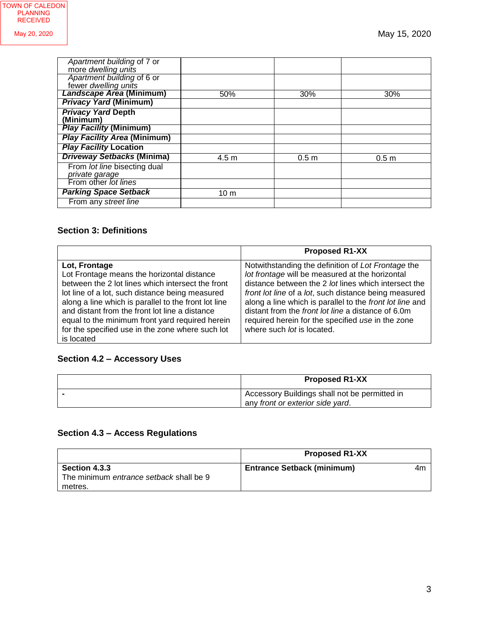| Apartment building of 7 or<br>more dwelling units  |                 |                  |                  |
|----------------------------------------------------|-----------------|------------------|------------------|
| Apartment building of 6 or<br>fewer dwelling units |                 |                  |                  |
| Landscape Area (Minimum)                           | 50%             | 30%              | 30%              |
| <b>Privacy Yard (Minimum)</b>                      |                 |                  |                  |
| <b>Privacy Yard Depth</b><br>(Minimum)             |                 |                  |                  |
| <b>Play Facility (Minimum)</b>                     |                 |                  |                  |
| <b>Play Facility Area (Minimum)</b>                |                 |                  |                  |
| <b>Play Facility Location</b>                      |                 |                  |                  |
| <b>Driveway Setbacks (Minima)</b>                  | $4.5 \text{ m}$ | 0.5 <sub>m</sub> | 0.5 <sub>m</sub> |
| From lot line bisecting dual<br>private garage     |                 |                  |                  |
| From other lot lines                               |                 |                  |                  |
| <b>Parking Space Setback</b>                       | 10 <sub>m</sub> |                  |                  |
| From any street line                               |                 |                  |                  |

#### **Section 3: Definitions**

|                                                                                                                                                                                                                                                                                                                                                                                                    | <b>Proposed R1-XX</b>                                                                                                                                                                                                                                                                                                                                                                                                       |
|----------------------------------------------------------------------------------------------------------------------------------------------------------------------------------------------------------------------------------------------------------------------------------------------------------------------------------------------------------------------------------------------------|-----------------------------------------------------------------------------------------------------------------------------------------------------------------------------------------------------------------------------------------------------------------------------------------------------------------------------------------------------------------------------------------------------------------------------|
| Lot, Frontage<br>Lot Frontage means the horizontal distance<br>between the 2 lot lines which intersect the front<br>lot line of a lot, such distance being measured<br>along a line which is parallel to the front lot line<br>and distant from the front lot line a distance<br>equal to the minimum front yard required herein<br>for the specified use in the zone where such lot<br>is located | Notwithstanding the definition of Lot Frontage the<br>lot frontage will be measured at the horizontal<br>distance between the 2 lot lines which intersect the<br>front lot line of a lot, such distance being measured<br>along a line which is parallel to the front lot line and<br>distant from the front lot line a distance of 6.0m<br>required herein for the specified use in the zone<br>where such lot is located. |

# **Section 4.2 – Accessory Uses**

| <b>Proposed R1-XX</b>                                                             |  |
|-----------------------------------------------------------------------------------|--|
| Accessory Buildings shall not be permitted in<br>any front or exterior side yard. |  |

# **Section 4.3 – Access Regulations**

|                                         | <b>Proposed R1-XX</b>             |    |
|-----------------------------------------|-----------------------------------|----|
| <b>Section 4.3.3</b>                    | <b>Entrance Setback (minimum)</b> | 4m |
| The minimum entrance setback shall be 9 |                                   |    |
| metres.                                 |                                   |    |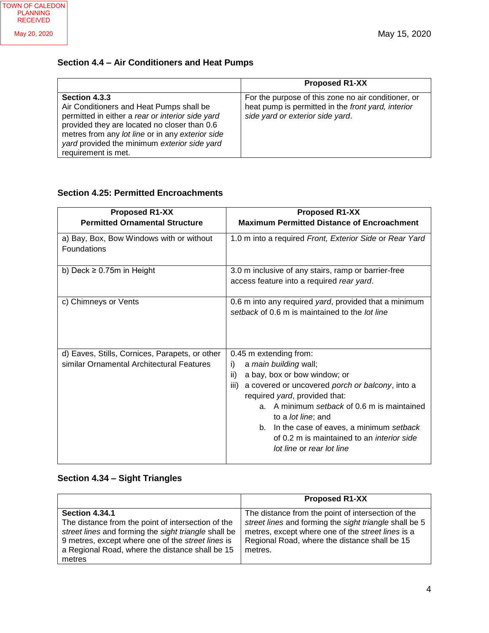### **Section 4.4 – Air Conditioners and Heat Pumps**

|                                                                                                                                                                                                                                                                                          | <b>Proposed R1-XX</b>                                                                                                                         |
|------------------------------------------------------------------------------------------------------------------------------------------------------------------------------------------------------------------------------------------------------------------------------------------|-----------------------------------------------------------------------------------------------------------------------------------------------|
| Section 4.3.3<br>Air Conditioners and Heat Pumps shall be<br>permitted in either a rear or interior side yard<br>provided they are located no closer than 0.6<br>metres from any lot line or in any exterior side<br>yard provided the minimum exterior side yard<br>requirement is met. | For the purpose of this zone no air conditioner, or<br>heat pump is permitted in the front yard, interior<br>side yard or exterior side yard. |

#### **Section 4.25: Permitted Encroachments**

| <b>Proposed R1-XX</b>                                                                       | <b>Proposed R1-XX</b>                                                                                                                                                                                                                                                                                                                                                                                 |
|---------------------------------------------------------------------------------------------|-------------------------------------------------------------------------------------------------------------------------------------------------------------------------------------------------------------------------------------------------------------------------------------------------------------------------------------------------------------------------------------------------------|
| <b>Permitted Ornamental Structure</b>                                                       | <b>Maximum Permitted Distance of Encroachment</b>                                                                                                                                                                                                                                                                                                                                                     |
| a) Bay, Box, Bow Windows with or without<br><b>Foundations</b>                              | 1.0 m into a required Front, Exterior Side or Rear Yard                                                                                                                                                                                                                                                                                                                                               |
| b) Deck $\geq 0.75$ m in Height                                                             | 3.0 m inclusive of any stairs, ramp or barrier-free<br>access feature into a required rear yard.                                                                                                                                                                                                                                                                                                      |
| c) Chimneys or Vents                                                                        | 0.6 m into any required yard, provided that a minimum<br>setback of 0.6 m is maintained to the lot line                                                                                                                                                                                                                                                                                               |
| d) Eaves, Stills, Cornices, Parapets, or other<br>similar Ornamental Architectural Features | 0.45 m extending from:<br>a main building wall;<br>i)<br>a bay, box or bow window; or<br>ii)<br>a covered or uncovered porch or balcony, into a<br>iii)<br>required yard, provided that:<br>a. A minimum setback of 0.6 m is maintained<br>to a <i>lot line</i> ; and<br>b. In the case of eaves, a minimum setback<br>of 0.2 m is maintained to an <i>interior side</i><br>lot line or rear lot line |

#### **Section 4.34 – Sight Triangles**

|                                                                                                                                                                                                                                                              | <b>Proposed R1-XX</b>                                                                                                                                                                                                         |
|--------------------------------------------------------------------------------------------------------------------------------------------------------------------------------------------------------------------------------------------------------------|-------------------------------------------------------------------------------------------------------------------------------------------------------------------------------------------------------------------------------|
| <b>Section 4.34.1</b><br>The distance from the point of intersection of the<br>street lines and forming the sight triangle shall be<br>9 metres, except where one of the <i>street lines</i> is<br>a Regional Road, where the distance shall be 15<br>metres | The distance from the point of intersection of the<br>street lines and forming the sight triangle shall be 5<br>metres, except where one of the street lines is a<br>Regional Road, where the distance shall be 15<br>metres. |